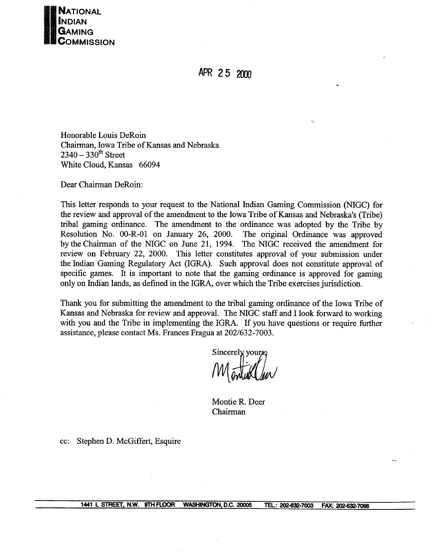

**APR** 25 *ma* 

Honorable Louis DeRoin Chairman, Iowa Tribe of Kansas and Nebraska  $2340 - 330$ <sup>th</sup> Street White Cloud, Kansas 66094

Dear Chairman DeRoin:

This letter responds to your request to the National Indian Gaming Commission (NIGC) for the review and approval of the amendment to the Iowa Tribe of Kansas and Nebraska's (Tribe) tribal gaming ordinance. The amendment to the ordinance was adopted by the Tribe by Resolution No. 00-R-01 on January 26, 2000. The original Ordinance was approved by the Chairman of the NIGC on June 21, 1994. The NIGC received the amendment for review on February 22, 2000. This letter constitutes approval of your submission under the Indian Gaming Regulatory Act (IGRA). Such approval does not constitute approval of specific games. It is important to note that the gaming ordinance is approved for **gaming**  only on Indian lands, as defined in the IGRA, over which the Tribe exercises jurisdiction.

Thank you for submitting the amendment to the tribal gaming ordinance of the Iowa Tribe of Kansas and Nebraska for review and approval. The NIGC staff and I look forward to working with you and the Tribe in implementing the IGRA. If you have questions or require further assistance, please contact Ms. Frances Fragua at 2021632-7003.

Sincerely yours

Montie R. Deer Chairman

cc: Stephen D. McGiffert, Esquire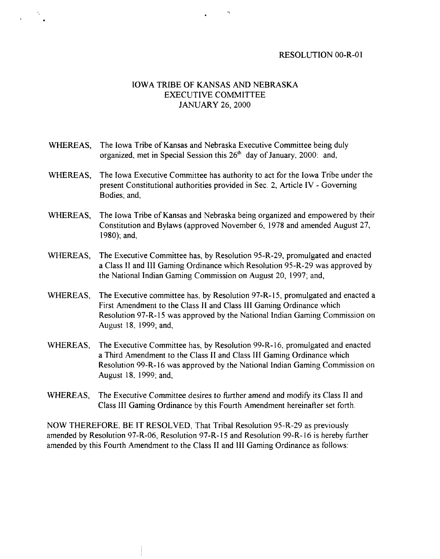## RESOLUTION 00-R-01

## IOWA TRIBE OF KANSAS AND NEBRASKA EXECUTIVE COMMITTEE JANUARY 26, 2000

- WHEREAS, The Iowa Tribe of Kansas and Nebraska Executive Committee being duly organized, met in Special Session this 26"' day of January, 2000: and,
- WHEREAS, The Iowa Executive Committee has authority to act for the Iowa Tribe under the present Constitutional authorities provided in Sec. 2, Article IV - Governing Bodies; and,
- WHEREAS, The Iowa Tribe of Kansas and Nebraska being organized and empowered by their Constitution and Bylaws (approved November 6, 1978 and amended August 27, 1980); and,
- WHEREAS, The Executive Committee has, by Resolution 95-R-29, promulgated and enacted a Class I1 and 111 Gaming Ordinance which Resolution 95-R-29 was approved by the National Indian Gaming Commission on August 20, 1997; and,
- WHEREAS, The Executive committee has, by Resolution 97-R-15, promulgated and enacted a First Amendment to the Class I1 and Class 111 Gaming Ordinance which Resolution 97-R-15 was approved by the National Indian Gaming Commission on August 18, 1999; and,
- WHEREAS, The Executive Committee has, by Resolution 99-R- 16, promulgated and enacted a Third Amendment to the Class I1 and Class 111 Gaming Ordinance which Resolution 99-R-16 was approved by the National Indian Gaming Commission on August 18, 1999; and,
- WHEREAS, The Executive Committee desires to further amend and modify its Class II and Class 111 Gaming Ordinance by this Fourth Amendment hereinafter set forth.

NOW THEREFORE, BE IT RESOLVED, That Tribal Resolution 95-R-29 as previously amended by Resolution 97-R-06, Resolution 97-R- **15** and Resolution 99-R- 16 is hereby hrther amended by this Fourth Amendment to the Class I1 and 111 Gaming Ordinance as follows: